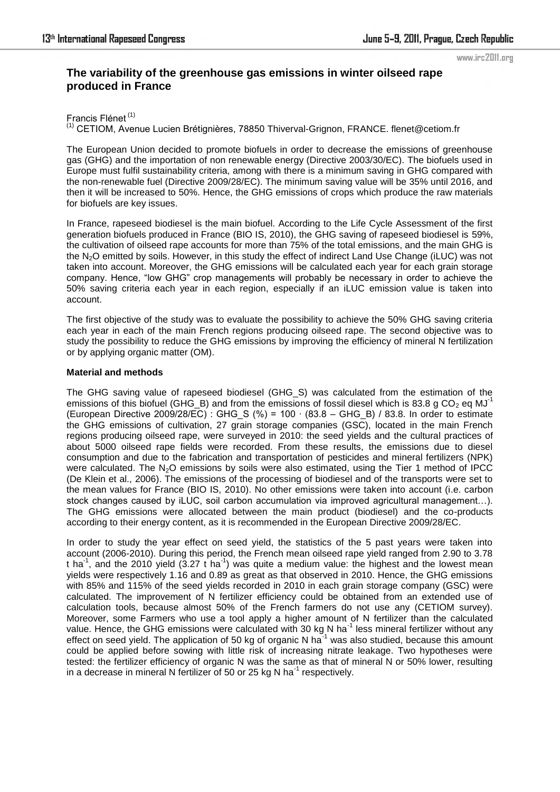# **The variability of the greenhouse gas emissions in winter oilseed rape produced in France**

Francis Flénet (1)

(1) CETIOM, Avenue Lucien Brétignières, 78850 Thiverval-Grignon, FRANCE. flenet@cetiom.fr

The European Union decided to promote biofuels in order to decrease the emissions of greenhouse gas (GHG) and the importation of non renewable energy (Directive 2003/30/EC). The biofuels used in Europe must fulfil sustainability criteria, among with there is a minimum saving in GHG compared with the non-renewable fuel (Directive 2009/28/EC). The minimum saving value will be 35% until 2016, and then it will be increased to 50%. Hence, the GHG emissions of crops which produce the raw materials for biofuels are key issues.

In France, rapeseed biodiesel is the main biofuel. According to the Life Cycle Assessment of the first generation biofuels produced in France (BIO IS, 2010), the GHG saving of rapeseed biodiesel is 59%, the cultivation of oilseed rape accounts for more than 75% of the total emissions, and the main GHG is the N<sub>2</sub>O emitted by soils. However, in this study the effect of indirect Land Use Change (iLUC) was not taken into account. Moreover, the GHG emissions will be calculated each year for each grain storage company. Hence, "low GHG" crop managements will probably be necessary in order to achieve the 50% saving criteria each year in each region, especially if an iLUC emission value is taken into account.

The first objective of the study was to evaluate the possibility to achieve the 50% GHG saving criteria each year in each of the main French regions producing oilseed rape. The second objective was to study the possibility to reduce the GHG emissions by improving the efficiency of mineral N fertilization or by applying organic matter (OM).

## **Material and methods**

The GHG saving value of rapeseed biodiesel (GHG\_S) was calculated from the estimation of the emissions of this biofuel (GHG\_B) and from the emissions of fossil diesel which is 83.8 g CO<sub>2</sub> eq MJ<sup>-1</sup> (European Directive 2009/28/EC) : GHG\_S (%) = 100 ∙ (83.8 – GHG\_B) / 83.8. In order to estimate the GHG emissions of cultivation, 27 grain storage companies (GSC), located in the main French regions producing oilseed rape, were surveyed in 2010: the seed yields and the cultural practices of about 5000 oilseed rape fields were recorded. From these results, the emissions due to diesel consumption and due to the fabrication and transportation of pesticides and mineral fertilizers (NPK) were calculated. The N<sub>2</sub>O emissions by soils were also estimated, using the Tier 1 method of IPCC (De Klein et al., 2006). The emissions of the processing of biodiesel and of the transports were set to the mean values for France (BIO IS, 2010). No other emissions were taken into account (i.e. carbon stock changes caused by iLUC, soil carbon accumulation via improved agricultural management...). The GHG emissions were allocated between the main product (biodiesel) and the co-products according to their energy content, as it is recommended in the European Directive 2009/28/EC.

In order to study the year effect on seed yield, the statistics of the 5 past years were taken into account (2006-2010). During this period, the French mean oilseed rape yield ranged from 2.90 to 3.78 t ha<sup>-1</sup>, and the 2010 yield  $(3.27 \text{ t} \text{ ha}^{-1})$  was quite a medium value: the highest and the lowest mean yields were respectively 1.16 and 0.89 as great as that observed in 2010. Hence, the GHG emissions with 85% and 115% of the seed yields recorded in 2010 in each grain storage company (GSC) were calculated. The improvement of N fertilizer efficiency could be obtained from an extended use of calculation tools, because almost 50% of the French farmers do not use any (CETIOM survey). Moreover, some Farmers who use a tool apply a higher amount of N fertilizer than the calculated value. Hence, the GHG emissions were calculated with 30 kg N ha<sup>-1</sup> less mineral fertilizer without any effect on seed yield. The application of 50 kg of organic N ha $^{-1}$  was also studied, because this amount could be applied before sowing with little risk of increasing nitrate leakage. Two hypotheses were tested: the fertilizer efficiency of organic N was the same as that of mineral N or 50% lower, resulting in a decrease in mineral N fertilizer of 50 or 25 kg N ha<sup>-1</sup> respectively.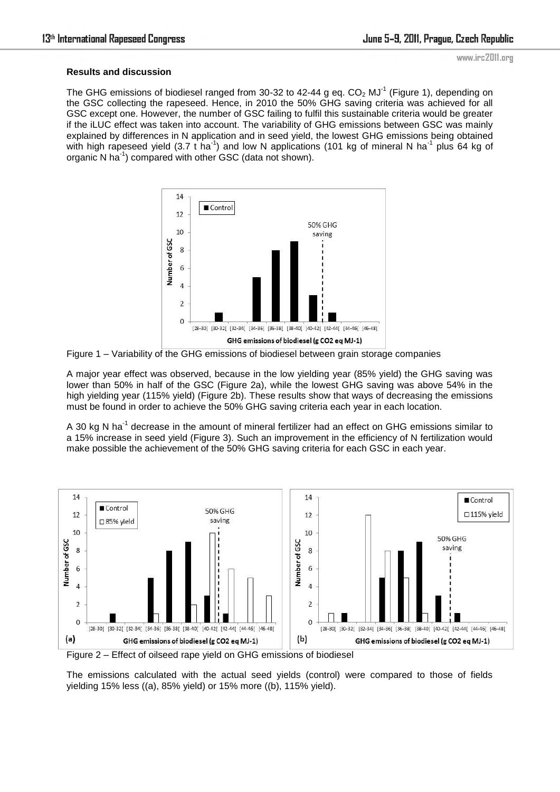### **Results and discussion**

The GHG emissions of biodiesel ranged from 30-32 to 42-44 g eq.  $CO<sub>2</sub>$  MJ<sup>-1</sup> (Figure 1), depending on the GSC collecting the rapeseed. Hence, in 2010 the 50% GHG saving criteria was achieved for all GSC except one. However, the number of GSC failing to fulfil this sustainable criteria would be greater if the iLUC effect was taken into account. The variability of GHG emissions between GSC was mainly explained by differences in N application and in seed yield, the lowest GHG emissions being obtained with high rapeseed yield (3.7 t ha<sup>-1</sup>) and low N applications (101 kg of mineral N ha<sup>-1</sup> plus 64 kg of organic N ha<sup>1</sup>) compared with other GSC (data not shown).



Figure 1 – Variability of the GHG emissions of biodiesel between grain storage companies

A major year effect was observed, because in the low yielding year (85% yield) the GHG saving was lower than 50% in half of the GSC (Figure 2a), while the lowest GHG saving was above 54% in the high yielding year (115% yield) (Figure 2b). These results show that ways of decreasing the emissions must be found in order to achieve the 50% GHG saving criteria each year in each location.

A 30 kg N ha<sup>-1</sup> decrease in the amount of mineral fertilizer had an effect on GHG emissions similar to a 15% increase in seed yield (Figure 3). Such an improvement in the efficiency of N fertilization would make possible the achievement of the 50% GHG saving criteria for each GSC in each year.



Figure 2 – Effect of oilseed rape yield on GHG emissions of biodiesel

The emissions calculated with the actual seed yields (control) were compared to those of fields yielding 15% less ((a), 85% yield) or 15% more ((b), 115% yield).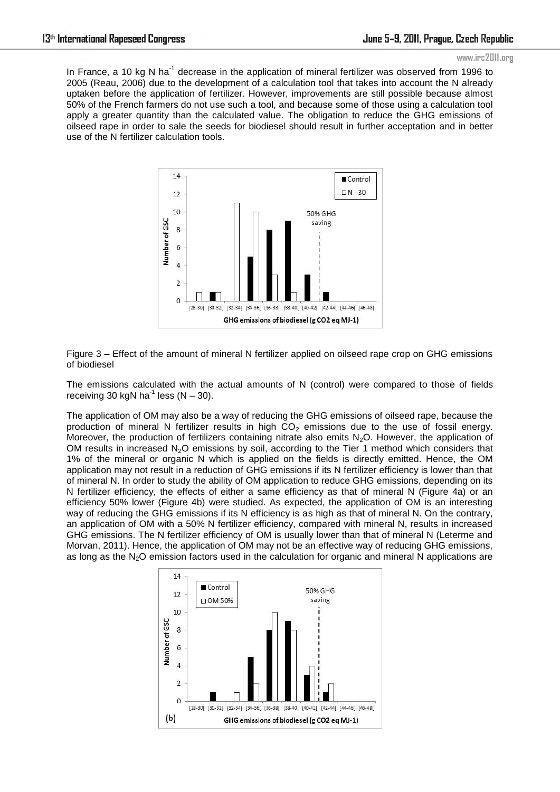In France, a 10 kg N ha<sup>-1</sup> decrease in the application of mineral fertilizer was observed from 1996 to 2005 (Reau, 2006) due to the development of a calculation tool that takes into account the N already uptaken before the application of fertilizer. However, improvements are still possible because almost 50% of the French farmers do not use such a tool, and because some of those using a calculation tool apply a greater quantity than the calculated value. The obligation to reduce the GHG emissions of oilseed rape in order to sale the seeds for biodiesel should result in further acceptation and in better use of the N fertilizer calculation tools.



Figure 3 – Effect of the amount of mineral N fertilizer applied on oilseed rape crop on GHG emissions of biodiesel

The emissions calculated with the actual amounts of N (control) were compared to those of fields receiving 30 kgN ha<sup>-1</sup> less (N – 30).

The application of OM may also be a way of reducing the GHG emissions of oilseed rape, because the production of mineral N fertilizer results in high  $CO<sub>2</sub>$  emissions due to the use of fossil energy. Moreover, the production of fertilizers containing nitrate also emits  $N_2O$ . However, the application of OM results in increased  $N_2O$  emissions by soil, according to the Tier 1 method which considers that 1% of the mineral or organic N which is applied on the fields is directly emitted. Hence, the OM application may not result in a reduction of GHG emissions if its N fertilizer efficiency is lower than that of mineral N. In order to study the ability of OM application to reduce GHG emissions, depending on its N fertilizer efficiency, the effects of either a same efficiency as that of mineral N (Figure 4a) or an efficiency 50% lower (Figure 4b) were studied. As expected, the application of OM is an interesting way of reducing the GHG emissions if its N efficiency is as high as that of mineral N. On the contrary, an application of OM with a 50% N fertilizer efficiency, compared with mineral N, results in increased GHG emissions. The N fertilizer efficiency of OM is usually lower than that of mineral N (Leterme and Morvan, 2011). Hence, the application of OM may not be an effective way of reducing GHG emissions, as long as the N<sub>2</sub>O emission factors used in the calculation for organic and mineral N applications are